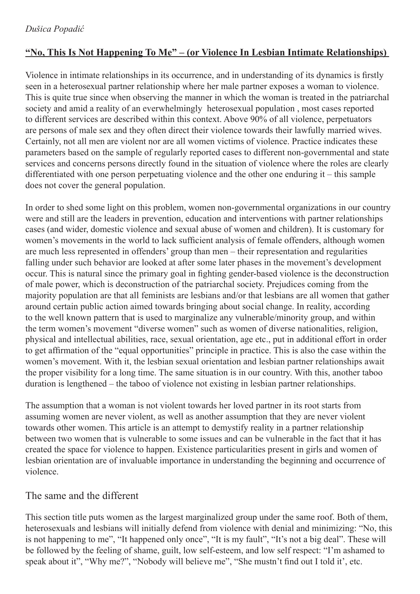# **"No, This Is Not Happening To Me" – (or Violence In Lesbian Intimate Relationships)**

Violence in intimate relationships in its occurrence, and in understanding of its dynamics is firstly seen in a heterosexual partner relationship where her male partner exposes a woman to violence. This is quite true since when observing the manner in which the woman is treated in the patriarchal society and amid a reality of an everwhelmingly heterosexual population , most cases reported to different services are described within this context. Above 90% of all violence, perpetuators are persons of male sex and they often direct their violence towards their lawfully married wives. Certainly, not all men are violent nor are all women victims of violence. Practice indicates these parameters based on the sample of regularly reported cases to different non-governmental and state services and concerns persons directly found in the situation of violence where the roles are clearly differentiated with one person perpetuating violence and the other one enduring it – this sample does not cover the general population.

In order to shed some light on this problem, women non-governmental organizations in our country were and still are the leaders in prevention, education and interventions with partner relationships cases (and wider, domestic violence and sexual abuse of women and children). It is customary for women's movements in the world to lack sufficient analysis of female offenders, although women are much less represented in offenders' group than men – their representation and regularities falling under such behavior are looked at after some later phases in the movement's development occur. This is natural since the primary goal in fighting gender-based violence is the deconstruction of male power, which is deconstruction of the patriarchal society. Prejudices coming from the majority population are that all feminists are lesbians and/or that lesbians are all women that gather around certain public action aimed towards bringing about social change. In reality, according to the well known pattern that is used to marginalize any vulnerable/minority group, and within the term women's movement "diverse women" such as women of diverse nationalities, religion, physical and intellectual abilities, race, sexual orientation, age etc., put in additional effort in order to get affirmation of the "equal opportunities" principle in practice. This is also the case within the women's movement. With it, the lesbian sexual orientation and lesbian partner relationships await the proper visibility for a long time. The same situation is in our country. With this, another taboo duration is lengthened – the taboo of violence not existing in lesbian partner relationships.

The assumption that a woman is not violent towards her loved partner in its root starts from assuming women are never violent, as well as another assumption that they are never violent towards other women. This article is an attempt to demystify reality in a partner relationship between two women that is vulnerable to some issues and can be vulnerable in the fact that it has created the space for violence to happen. Existence particularities present in girls and women of lesbian orientation are of invaluable importance in understanding the beginning and occurrence of violence.

## The same and the different

This section title puts women as the largest marginalized group under the same roof. Both of them, heterosexuals and lesbians will initially defend from violence with denial and minimizing: "No, this is not happening to me", "It happened only once", "It is my fault", "It's not a big deal". These will be followed by the feeling of shame, guilt, low self-esteem, and low self respect: "I'm ashamed to speak about it", "Why me?", "Nobody will believe me", "She mustn't find out I told it', etc.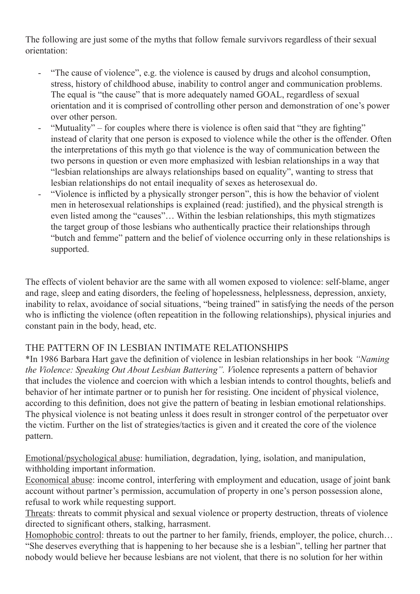The following are just some of the myths that follow female survivors regardless of their sexual orientation:

- "The cause of violence", e.g. the violence is caused by drugs and alcohol consumption, stress, history of childhood abuse, inability to control anger and communication problems. The equal is "the cause" that is more adequately named GOAL, regardless of sexual orientation and it is comprised of controlling other person and demonstration of one's power over other person.
- "Mutuality" for couples where there is violence is often said that "they are fighting" instead of clarity that one person is exposed to violence while the other is the offender. Often the interpretations of this myth go that violence is the way of communication between the two persons in question or even more emphasized with lesbian relationships in a way that "lesbian relationships are always relationships based on equality", wanting to stress that lesbian relationships do not entail inequality of sexes as heterosexual do.
- "Violence is inflicted by a physically stronger person", this is how the behavior of violent men in heterosexual relationships is explained (read: justified), and the physical strength is even listed among the "causes"… Within the lesbian relationships, this myth stigmatizes the target group of those lesbians who authentically practice their relationships through "butch and femme" pattern and the belief of violence occurring only in these relationships is supported.

The effects of violent behavior are the same with all women exposed to violence: self-blame, anger and rage, sleep and eating disorders, the feeling of hopelessness, helplessness, depression, anxiety, inability to relax, avoidance of social situations, "being trained" in satisfying the needs of the person who is inflicting the violence (often repeatition in the following relationships), physical injuries and constant pain in the body, head, etc.

## THE PATTERN OF IN LESBIAN INTIMATE RELATIONSHIPS

\*In 1986 Barbara Hart gave the definition of violence in lesbian relationships in her book *"Naming the Violence: Speaking Out About Lesbian Battering". V*iolence represents a pattern of behavior that includes the violence and coercion with which a lesbian intends to control thoughts, beliefs and behavior of her intimate partner or to punish her for resisting. One incident of physical violence, according to this definition, does not give the pattern of beating in lesbian emotional relationships. The physical violence is not beating unless it does result in stronger control of the perpetuator over the victim. Further on the list of strategies/tactics is given and it created the core of the violence pattern.

Emotional/psychological abuse: humiliation, degradation, lying, isolation, and manipulation, withholding important information.

Economical abuse: income control, interfering with employment and education, usage of joint bank account without partner's permission, accumulation of property in one's person possession alone, refusal to work while requesting support.

Threats: threats to commit physical and sexual violence or property destruction, threats of violence directed to significant others, stalking, harrasment.

Homophobic control: threats to out the partner to her family, friends, employer, the police, church… "She deserves everything that is happening to her because she is a lesbian", telling her partner that nobody would believe her because lesbians are not violent, that there is no solution for her within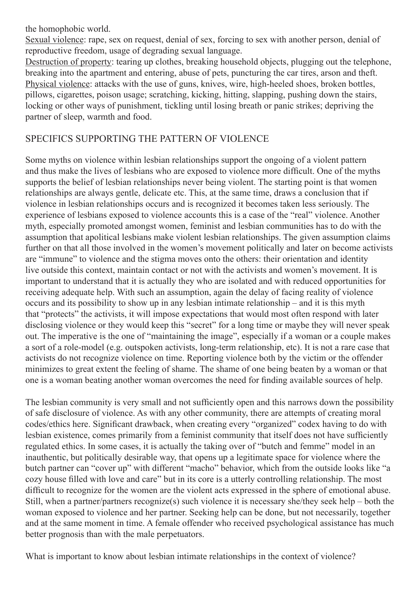the homophobic world.

Sexual violence: rape, sex on request, denial of sex, forcing to sex with another person, denial of reproductive freedom, usage of degrading sexual language.

Destruction of property: tearing up clothes, breaking household objects, plugging out the telephone, breaking into the apartment and entering, abuse of pets, puncturing the car tires, arson and theft. Physical violence: attacks with the use of guns, knives, wire, high-heeled shoes, broken bottles, pillows, cigarettes, poison usage; scratching, kicking, hitting, slapping, pushing down the stairs, locking or other ways of punishment, tickling until losing breath or panic strikes; depriving the partner of sleep, warmth and food.

# SPECIFICS SUPPORTING THE PATTERN OF VIOLENCE

Some myths on violence within lesbian relationships support the ongoing of a violent pattern and thus make the lives of lesbians who are exposed to violence more difficult. One of the myths supports the belief of lesbian relationships never being violent. The starting point is that women relationships are always gentle, delicate etc. This, at the same time, draws a conclusion that if violence in lesbian relationships occurs and is recognized it becomes taken less seriously. The experience of lesbians exposed to violence accounts this is a case of the "real" violence. Another myth, especially promoted amongst women, feminist and lesbian communities has to do with the assumption that apolitical lesbians make violent lesbian relationships. The given assumption claims further on that all those involved in the women's movement politically and later on become activists are "immune" to violence and the stigma moves onto the others: their orientation and identity live outside this context, maintain contact or not with the activists and women's movement. It is important to understand that it is actually they who are isolated and with reduced opportunities for receiving adequate help. With such an assumption, again the delay of facing reality of violence occurs and its possibility to show up in any lesbian intimate relationship – and it is this myth that "protects" the activists, it will impose expectations that would most often respond with later disclosing violence or they would keep this "secret" for a long time or maybe they will never speak out. The imperative is the one of "maintaining the image", especially if a woman or a couple makes a sort of a role-model (e.g. outspoken activists, long-term relationship, etc). It is not a rare case that activists do not recognize violence on time. Reporting violence both by the victim or the offender minimizes to great extent the feeling of shame. The shame of one being beaten by a woman or that one is a woman beating another woman overcomes the need for finding available sources of help.

The lesbian community is very small and not sufficiently open and this narrows down the possibility of safe disclosure of violence. As with any other community, there are attempts of creating moral codes/ethics here. Significant drawback, when creating every "organized" codex having to do with lesbian existence, comes primarily from a feminist community that itself does not have sufficiently regulated ethics. In some cases, it is actually the taking over of "butch and femme" model in an inauthentic, but politically desirable way, that opens up a legitimate space for violence where the butch partner can "cover up" with different "macho" behavior, which from the outside looks like "a cozy house filled with love and care" but in its core is a utterly controlling relationship. The most difficult to recognize for the women are the violent acts expressed in the sphere of emotional abuse. Still, when a partner/partners recognize(s) such violence it is necessary she/they seek help – both the woman exposed to violence and her partner. Seeking help can be done, but not necessarily, together and at the same moment in time. A female offender who received psychological assistance has much better prognosis than with the male perpetuators.

What is important to know about lesbian intimate relationships in the context of violence?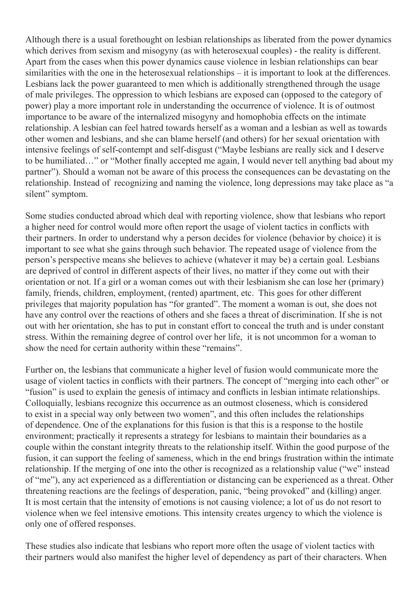Although there is a usual forethought on lesbian relationships as liberated from the power dynamics which derives from sexism and misogyny (as with heterosexual couples) - the reality is different. Apart from the cases when this power dynamics cause violence in lesbian relationships can bear similarities with the one in the heterosexual relationships – it is important to look at the differences. Lesbians lack the power guaranteed to men which is additionally strengthened through the usage of male privileges. The oppression to which lesbians are exposed can (opposed to the category of power) play a more important role in understanding the occurrence of violence. It is of outmost importance to be aware of the internalized misogyny and homophobia effects on the intimate relationship. A lesbian can feel hatred towards herself as a woman and a lesbian as well as towards other women and lesbians, and she can blame herself (and others) for her sexual orientation with intensive feelings of self-contempt and self-disgust ("Maybe lesbians are really sick and I deserve to be humiliated…" or "Mother finally accepted me again, I would never tell anything bad about my partner"). Should a woman not be aware of this process the consequences can be devastating on the relationship. Instead of recognizing and naming the violence, long depressions may take place as "a silent" symptom.

Some studies conducted abroad which deal with reporting violence, show that lesbians who report a higher need for control would more often report the usage of violent tactics in conflicts with their partners. In order to understand why a person decides for violence (behavior by choice) it is important to see what she gains through such behavior. The repeated usage of violence from the person's perspective means she believes to achieve (whatever it may be) a certain goal. Lesbians are deprived of control in different aspects of their lives, no matter if they come out with their orientation or not. If a girl or a woman comes out with their lesbianism she can lose her (primary) family, friends, children, employment, (rented) apartment, etc. This goes for other different privileges that majority population has "for granted". The moment a woman is out, she does not have any control over the reactions of others and she faces a threat of discrimination. If she is not out with her orientation, she has to put in constant effort to conceal the truth and is under constant stress. Within the remaining degree of control over her life, it is not uncommon for a woman to show the need for certain authority within these "remains".

Further on, the lesbians that communicate a higher level of fusion would communicate more the usage of violent tactics in conflicts with their partners. The concept of "merging into each other" or "fusion" is used to explain the genesis of intimacy and conflicts in lesbian intimate relationships. Colloquially, lesbians recognize this occurrence as an outmost closeness, which is considered to exist in a special way only between two women", and this often includes the relationships of dependence. One of the explanations for this fusion is that this is a response to the hostile environment; practically it represents a strategy for lesbians to maintain their boundaries as a couple within the constant integrity threats to the relationship itself. Within the good purpose of the fusion, it can support the feeling of sameness, which in the end brings frustration within the intimate relationship. If the merging of one into the other is recognized as a relationship value ("we" instead of "me"), any act experienced as a differentiation or distancing can be experienced as a threat. Other threatening reactions are the feelings of desperation, panic, "being provoked" and (killing) anger. It is most certain that the intensity of emotions is not causing violence; a lot of us do not resort to violence when we feel intensive emotions. This intensity creates urgency to which the violence is only one of offered responses.

These studies also indicate that lesbians who report more often the usage of violent tactics with their partners would also manifest the higher level of dependency as part of their characters. When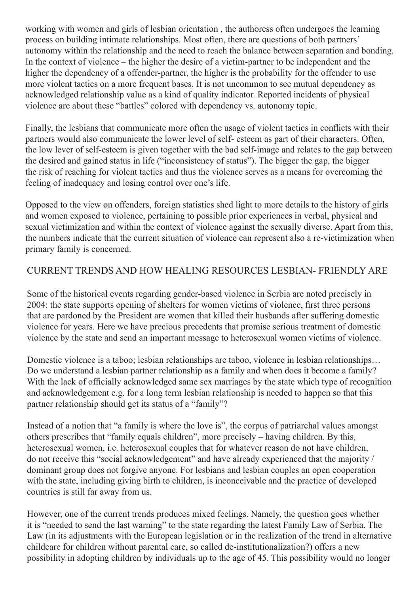working with women and girls of lesbian orientation , the authoress often undergoes the learning process on building intimate relationships. Most often, there are questions of both partners' autonomy within the relationship and the need to reach the balance between separation and bonding. In the context of violence – the higher the desire of a victim-partner to be independent and the higher the dependency of a offender-partner, the higher is the probability for the offender to use more violent tactics on a more frequent bases. It is not uncommon to see mutual dependency as acknowledged relationship value as a kind of quality indicator. Reported incidents of physical violence are about these "battles" colored with dependency vs. autonomy topic.

Finally, the lesbians that communicate more often the usage of violent tactics in conflicts with their partners would also communicate the lower level of self- esteem as part of their characters. Often, the low lever of self-esteem is given together with the bad self-image and relates to the gap between the desired and gained status in life ("inconsistency of status"). The bigger the gap, the bigger the risk of reaching for violent tactics and thus the violence serves as a means for overcoming the feeling of inadequacy and losing control over one's life.

Opposed to the view on offenders, foreign statistics shed light to more details to the history of girls and women exposed to violence, pertaining to possible prior experiences in verbal, physical and sexual victimization and within the context of violence against the sexually diverse. Apart from this, the numbers indicate that the current situation of violence can represent also a re-victimization when primary family is concerned.

## CURRENT TRENDS AND HOW HEALING RESOURCES LESBIAN- FRIENDLY ARE

Some of the historical events regarding gender-based violence in Serbia are noted precisely in 2004: the state supports opening of shelters for women victims of violence, first three persons that are pardoned by the President are women that killed their husbands after suffering domestic violence for years. Here we have precious precedents that promise serious treatment of domestic violence by the state and send an important message to heterosexual women victims of violence.

Domestic violence is a taboo; lesbian relationships are taboo, violence in lesbian relationships… Do we understand a lesbian partner relationship as a family and when does it become a family? With the lack of officially acknowledged same sex marriages by the state which type of recognition and acknowledgement e.g. for a long term lesbian relationship is needed to happen so that this partner relationship should get its status of a "family"?

Instead of a notion that "a family is where the love is", the corpus of patriarchal values amongst others prescribes that "family equals children", more precisely – having children. By this, heterosexual women, i.e. heterosexual couples that for whatever reason do not have children, do not receive this "social acknowledgement" and have already experienced that the majority / dominant group does not forgive anyone. For lesbians and lesbian couples an open cooperation with the state, including giving birth to children, is inconceivable and the practice of developed countries is still far away from us.

However, one of the current trends produces mixed feelings. Namely, the question goes whether it is "needed to send the last warning" to the state regarding the latest Family Law of Serbia. The Law (in its adjustments with the European legislation or in the realization of the trend in alternative childcare for children without parental care, so called de-institutionalization?) offers a new possibility in adopting children by individuals up to the age of 45. This possibility would no longer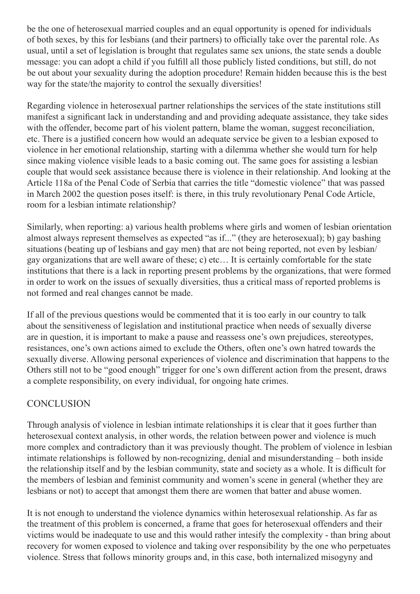be the one of heterosexual married couples and an equal opportunity is opened for individuals of both sexes, by this for lesbians (and their partners) to officially take over the parental role. As usual, until a set of legislation is brought that regulates same sex unions, the state sends a double message: you can adopt a child if you fulfill all those publicly listed conditions, but still, do not be out about your sexuality during the adoption procedure! Remain hidden because this is the best way for the state/the majority to control the sexually diversities!

Regarding violence in heterosexual partner relationships the services of the state institutions still manifest a significant lack in understanding and and providing adequate assistance, they take sides with the offender, become part of his violent pattern, blame the woman, suggest reconciliation, etc. There is a justified concern how would an adequate service be given to a lesbian exposed to violence in her emotional relationship, starting with a dilemma whether she would turn for help since making violence visible leads to a basic coming out. The same goes for assisting a lesbian couple that would seek assistance because there is violence in their relationship. And looking at the Article 118a of the Penal Code of Serbia that carries the title "domestic violence" that was passed in March 2002 the question poses itself: is there, in this truly revolutionary Penal Code Article, room for a lesbian intimate relationship?

Similarly, when reporting: a) various health problems where girls and women of lesbian orientation almost always represent themselves as expected "as if..." (they are heterosexual); b) gay bashing situations (beating up of lesbians and gay men) that are not being reported, not even by lesbian/ gay organizations that are well aware of these; c) etc… It is certainly comfortable for the state institutions that there is a lack in reporting present problems by the organizations, that were formed in order to work on the issues of sexually diversities, thus a critical mass of reported problems is not formed and real changes cannot be made.

If all of the previous questions would be commented that it is too early in our country to talk about the sensitiveness of legislation and institutional practice when needs of sexually diverse are in question, it is important to make a pause and reassess one's own prejudices, stereotypes, resistances, one's own actions aimed to exclude the Others, often one's own hatred towards the sexually diverse. Allowing personal experiences of violence and discrimination that happens to the Others still not to be "good enough" trigger for one's own different action from the present, draws a complete responsibility, on every individual, for ongoing hate crimes.

## **CONCLUSION**

Through analysis of violence in lesbian intimate relationships it is clear that it goes further than heterosexual context analysis, in other words, the relation between power and violence is much more complex and contradictory than it was previously thought. The problem of violence in lesbian intimate relationships is followed by non-recognizing, denial and misunderstanding – both inside the relationship itself and by the lesbian community, state and society as a whole. It is difficult for the members of lesbian and feminist community and women's scene in general (whether they are lesbians or not) to accept that amongst them there are women that batter and abuse women.

It is not enough to understand the violence dynamics within heterosexual relationship. As far as the treatment of this problem is concerned, a frame that goes for heterosexual offenders and their victims would be inadequate to use and this would rather intesify the complexity - than bring about recovery for women exposed to violence and taking over responsibility by the one who perpetuates violence. Stress that follows minority groups and, in this case, both internalized misogyny and